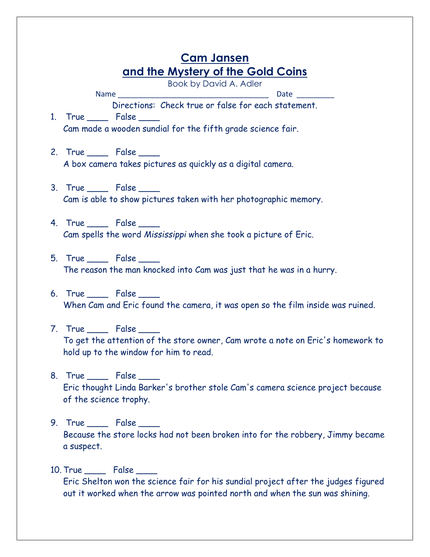| <b>Cam Jansen</b>                                                                                                                                     |
|-------------------------------------------------------------------------------------------------------------------------------------------------------|
| and the Mystery of the Gold Coins                                                                                                                     |
| Book by David A. Adler                                                                                                                                |
| Directions: Check true or false for each statement.                                                                                                   |
| 1. True _____ False ____                                                                                                                              |
| Cam made a wooden sundial for the fifth grade science fair.                                                                                           |
| 2. True ______ False _____<br>A box camera takes pictures as quickly as a digital camera.                                                             |
| 3. True _____ False ____<br>Cam is able to show pictures taken with her photographic memory.                                                          |
| 4. True _____ False ____<br>Cam spells the word Mississippi when she took a picture of Eric.                                                          |
| 5. True _____ False ____<br>The reason the man knocked into Cam was just that he was in a hurry.                                                      |
| 6. True _____ False ____<br>When Cam and Eric found the camera, it was open so the film inside was ruined.                                            |
| 7. True _____ False ____<br>To get the attention of the store owner, Cam wrote a note on Eric's homework to<br>hold up to the window for him to read. |
| 8. True ____ False ____<br>Eric thought Linda Barker's brother stole Cam's camera science project because<br>of the science trophy.                   |
| 9. True ______ False _____<br>Because the store locks had not been broken into for the robbery, Jimmy became<br>a suspect.                            |

10. True \_\_\_\_\_\_ False \_\_\_\_\_ Eric Shelton won the science fair for his sundial project after the judges figured out it worked when the arrow was pointed north and when the sun was shining.